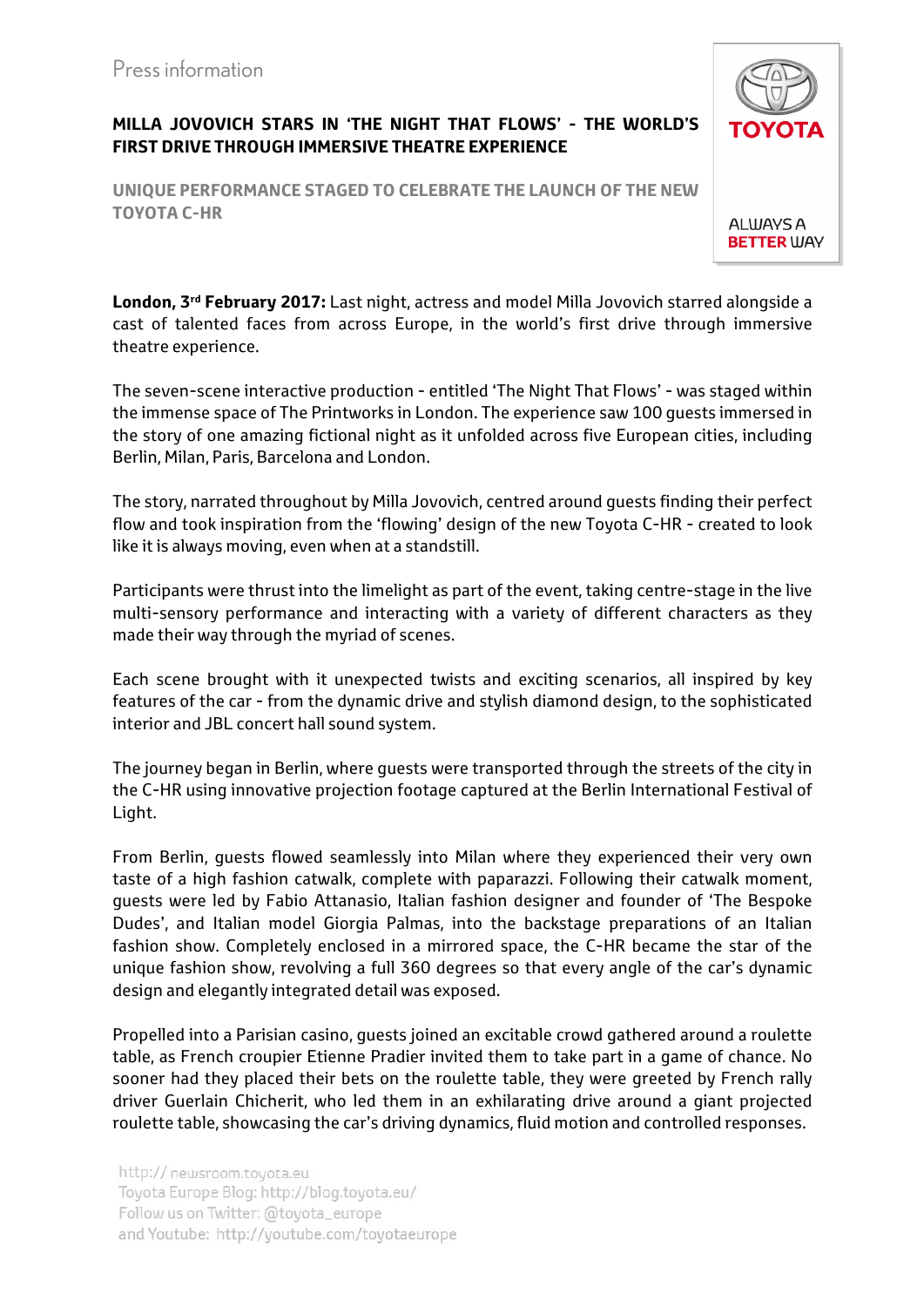## **MILLA JOVOVICH STARS IN 'THE NIGHT THAT FLOWS' - THE WORLD'S FIRST DRIVE THROUGH IMMERSIVE THEATRE EXPERIENCE**

**UNIQUE PERFORMANCE STAGED TO CELEBRATE THE LAUNCH OF THE NEW TOYOTA C-HR** 

**London, 3rd February 2017:** Last night, actress and model Milla Jovovich starred alongside a cast of talented faces from across Europe, in the world's first drive through immersive theatre experience.

The seven-scene interactive production - entitled 'The Night That Flows' - was staged within the immense space of The Printworks in London. The experience saw 100 guests immersed in the story of one amazing fictional night as it unfolded across five European cities, including Berlin, Milan, Paris, Barcelona and London.

The story, narrated throughout by Milla Jovovich, centred around guests finding their perfect flow and took inspiration from the 'flowing' design of the new Toyota C-HR - created to look like it is always moving, even when at a standstill.

Participants were thrust into the limelight as part of the event, taking centre-stage in the live multi-sensory performance and interacting with a variety of different characters as they made their way through the myriad of scenes.

Each scene brought with it unexpected twists and exciting scenarios, all inspired by key features of the car - from the dynamic drive and stylish diamond design, to the sophisticated interior and JBL concert hall sound system.

The journey began in Berlin, where guests were transported through the streets of the city in the C-HR using innovative projection footage captured at the Berlin International Festival of Light.

From Berlin, guests flowed seamlessly into Milan where they experienced their very own taste of a high fashion catwalk, complete with paparazzi. Following their catwalk moment, guests were led by Fabio Attanasio, Italian fashion designer and founder of 'The Bespoke Dudes', and Italian model Giorgia Palmas, into the backstage preparations of an Italian fashion show. Completely enclosed in a mirrored space, the C-HR became the star of the unique fashion show, revolving a full 360 degrees so that every angle of the car's dynamic design and elegantly integrated detail was exposed.

Propelled into a Parisian casino, guests joined an excitable crowd gathered around a roulette table, as French croupier Etienne Pradier invited them to take part in a game of chance. No sooner had they placed their bets on the roulette table, they were greeted by French rally driver Guerlain Chicherit, who led them in an exhilarating drive around a giant projected roulette table, showcasing the car's driving dynamics, fluid motion and controlled responses.

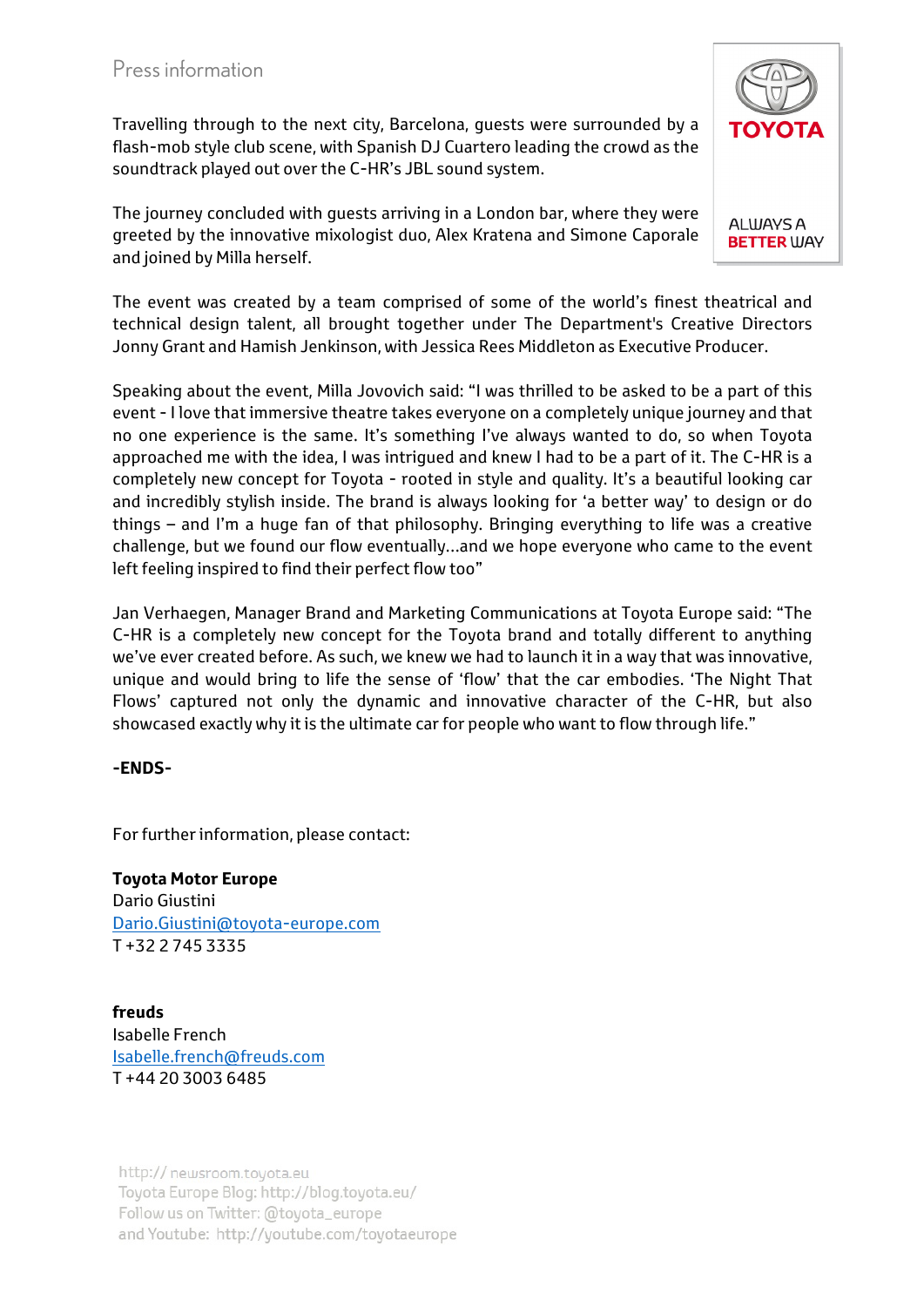Travelling through to the next city, Barcelona, guests were surrounded by a flash-mob style club scene, with Spanish DJ Cuartero leading the crowd as the soundtrack played out over the C-HR's JBL sound system.

The journey concluded with guests arriving in a London bar, where they were greeted by the innovative mixologist duo, Alex Kratena and Simone Caporale and joined by Milla herself.

The event was created by a team comprised of some of the world's finest theatrical and technical design talent, all brought together under The Department's Creative Directors Jonny Grant and Hamish Jenkinson, with Jessica Rees Middleton as Executive Producer.

Speaking about the event, Milla Jovovich said: "I was thrilled to be asked to be a part of this event - I love that immersive theatre takes everyone on a completely unique journey and that no one experience is the same. It's something I've always wanted to do, so when Toyota approached me with the idea, I was intrigued and knew I had to be a part of it. The C-HR is a completely new concept for Toyota - rooted in style and quality. It's a beautiful looking car and incredibly stylish inside. The brand is always looking for 'a better way' to design or do things – and I'm a huge fan of that philosophy. Bringing everything to life was a creative challenge, but we found our flow eventually…and we hope everyone who came to the event left feeling inspired to find their perfect flow too"

Jan Verhaegen, Manager Brand and Marketing Communications at Toyota Europe said: "The C-HR is a completely new concept for the Toyota brand and totally different to anything we've ever created before. As such, we knew we had to launch it in a way that was innovative, unique and would bring to life the sense of 'flow' that the car embodies. 'The Night That Flows' captured not only the dynamic and innovative character of the C-HR, but also showcased exactly why it is the ultimate car for people who want to flow through life."

## **-ENDS-**

For further information, please contact:

**Toyota Motor Europe** Dario Giustini Dario.Giustini@toyota-europe.com T +32 2 745 3335

**freuds** Isabelle French Isabelle.french@freuds.com T +44 20 3003 6485

http:// newsroom.toyota.eu Toyota Europe Blog: http://blog.toyota.eu/ Follow us on Twitter: @toyota\_europe and Youtube: http://youtube.com/toyotaeurope